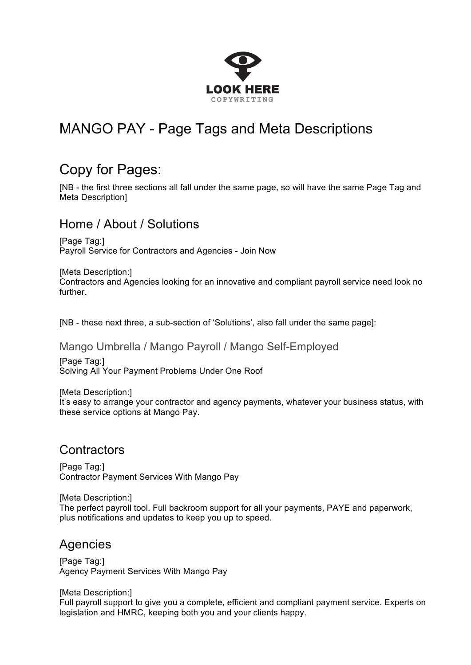

# MANGO PAY - Page Tags and Meta Descriptions

# Copy for Pages:

[NB - the first three sections all fall under the same page, so will have the same Page Tag and Meta Description]

### Home / About / Solutions

[Page Tag:] Payroll Service for Contractors and Agencies - Join Now

[Meta Description:] Contractors and Agencies looking for an innovative and compliant payroll service need look no further.

[NB - these next three, a sub-section of 'Solutions', also fall under the same page]:

Mango Umbrella / Mango Payroll / Mango Self-Employed [Page Tag:]

Solving All Your Payment Problems Under One Roof

[Meta Description:] It's easy to arrange your contractor and agency payments, whatever your business status, with these service options at Mango Pay.

# **Contractors**

[Page Tag:] Contractor Payment Services With Mango Pay

[Meta Description:] The perfect payroll tool. Full backroom support for all your payments, PAYE and paperwork, plus notifications and updates to keep you up to speed.

# Agencies

[Page Tag:] Agency Payment Services With Mango Pay

[Meta Description:]

Full payroll support to give you a complete, efficient and compliant payment service. Experts on legislation and HMRC, keeping both you and your clients happy.